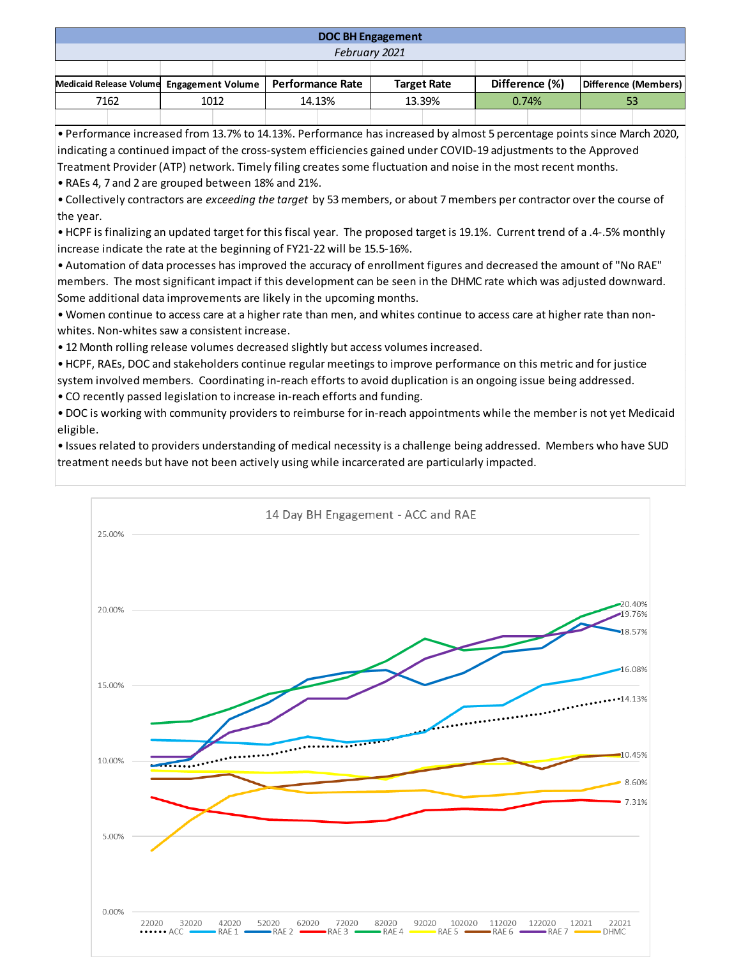## **DOC BH Engagement**

## *February 2021*

| Medicaid Release Volume Engagement Volume   Performance Rate |  |      |  |        |  | <b>Target Rate</b> |  | Difference (%) |  | Difference (Members) |  |
|--------------------------------------------------------------|--|------|--|--------|--|--------------------|--|----------------|--|----------------------|--|
| 7162                                                         |  | 1012 |  | 14.13% |  | 13.39%             |  | 0.74%          |  |                      |  |
|                                                              |  |      |  |        |  |                    |  |                |  |                      |  |

• Performance increased from 13.7% to 14.13%. Performance has increased by almost 5 percentage points since March 2020, indicating a continued impact of the cross-system efficiencies gained under COVID-19 adjustments to the Approved Treatment Provider (ATP) network. Timely filing creates some fluctuation and noise in the most recent months.

• RAEs 4, 7 and 2 are grouped between 18% and 21%.

• Collectively contractors are *exceeding the target* by 53 members, or about 7 members per contractor over the course of the year.

• HCPF is finalizing an updated target for this fiscal year. The proposed target is 19.1%. Current trend of a .4-.5% monthly increase indicate the rate at the beginning of FY21-22 will be 15.5-16%.

• Automation of data processes has improved the accuracy of enrollment figures and decreased the amount of "No RAE" members. The most significant impact if this development can be seen in the DHMC rate which was adjusted downward. Some additional data improvements are likely in the upcoming months.

• Women continue to access care at a higher rate than men, and whites continue to access care at higher rate than nonwhites. Non-whites saw a consistent increase.

• 12 Month rolling release volumes decreased slightly but access volumes increased.

• HCPF, RAEs, DOC and stakeholders continue regular meetings to improve performance on this metric and for justice system involved members. Coordinating in-reach efforts to avoid duplication is an ongoing issue being addressed.

• CO recently passed legislation to increase in-reach efforts and funding.

• DOC is working with community providers to reimburse for in-reach appointments while the member is not yet Medicaid eligible.

• Issues related to providers understanding of medical necessity is a challenge being addressed. Members who have SUD treatment needs but have not been actively using while incarcerated are particularly impacted.

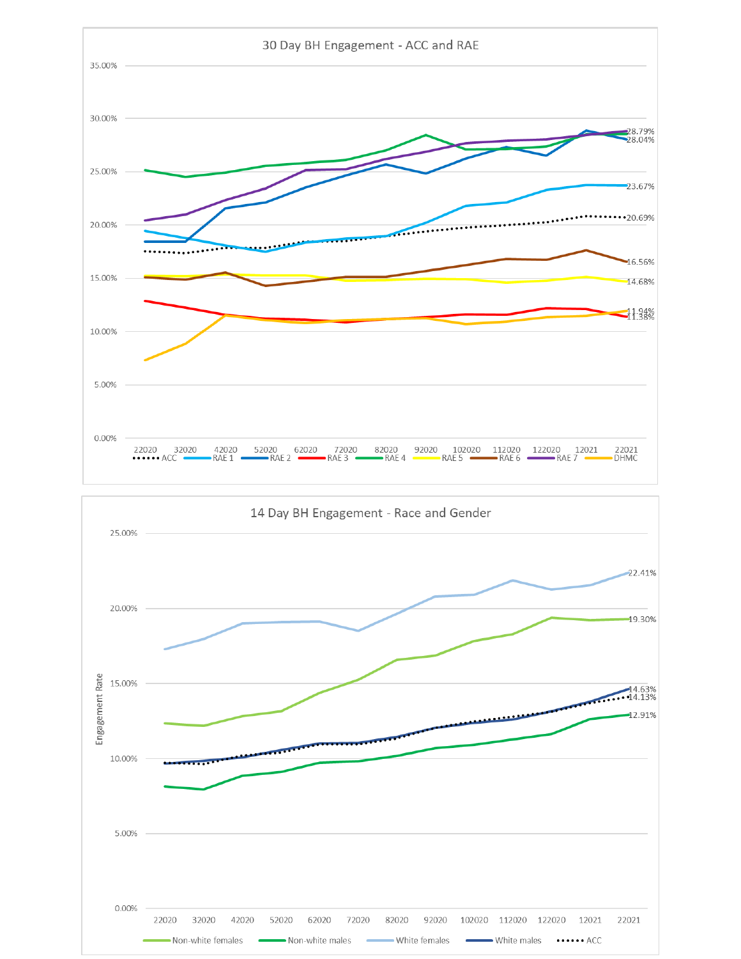